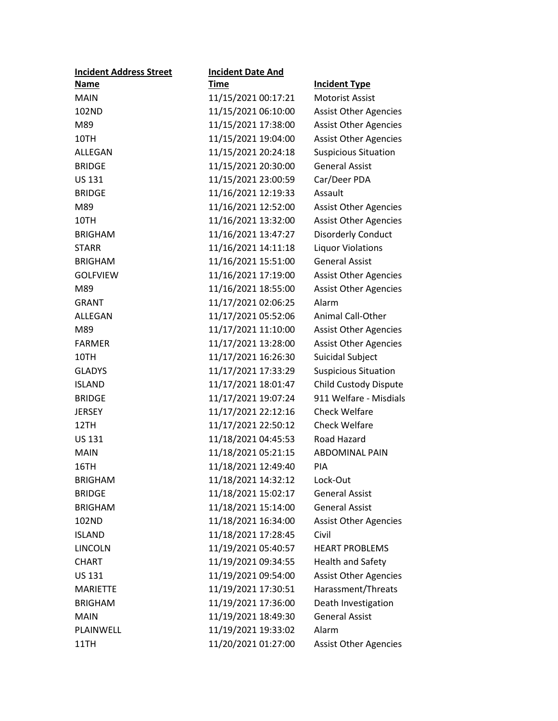| <b>Incident Address Street</b> | <b>Incident Date And</b> |                              |
|--------------------------------|--------------------------|------------------------------|
| <b>Name</b>                    | <u>Time</u>              | <b>Incident Type</b>         |
| <b>MAIN</b>                    | 11/15/2021 00:17:21      | <b>Motorist Assist</b>       |
| 102ND                          | 11/15/2021 06:10:00      | <b>Assist Other Agencies</b> |
| M89                            | 11/15/2021 17:38:00      | <b>Assist Other Agencies</b> |
| 10TH                           | 11/15/2021 19:04:00      | <b>Assist Other Agencies</b> |
| ALLEGAN                        | 11/15/2021 20:24:18      | <b>Suspicious Situation</b>  |
| <b>BRIDGE</b>                  | 11/15/2021 20:30:00      | <b>General Assist</b>        |
| <b>US 131</b>                  | 11/15/2021 23:00:59      | Car/Deer PDA                 |
| <b>BRIDGE</b>                  | 11/16/2021 12:19:33      | Assault                      |
| M89                            | 11/16/2021 12:52:00      | <b>Assist Other Agencies</b> |
| 10TH                           | 11/16/2021 13:32:00      | <b>Assist Other Agencies</b> |
| <b>BRIGHAM</b>                 | 11/16/2021 13:47:27      | <b>Disorderly Conduct</b>    |
| <b>STARR</b>                   | 11/16/2021 14:11:18      | <b>Liquor Violations</b>     |
| <b>BRIGHAM</b>                 | 11/16/2021 15:51:00      | <b>General Assist</b>        |
| <b>GOLFVIEW</b>                | 11/16/2021 17:19:00      | <b>Assist Other Agencies</b> |
| M89                            | 11/16/2021 18:55:00      | <b>Assist Other Agencies</b> |
| <b>GRANT</b>                   | 11/17/2021 02:06:25      | Alarm                        |
| ALLEGAN                        | 11/17/2021 05:52:06      | <b>Animal Call-Other</b>     |
| M89                            | 11/17/2021 11:10:00      | <b>Assist Other Agencies</b> |
| <b>FARMER</b>                  | 11/17/2021 13:28:00      | <b>Assist Other Agencies</b> |
| 10TH                           | 11/17/2021 16:26:30      | Suicidal Subject             |
| <b>GLADYS</b>                  | 11/17/2021 17:33:29      | <b>Suspicious Situation</b>  |
| <b>ISLAND</b>                  | 11/17/2021 18:01:47      | Child Custody Dispute        |
| <b>BRIDGE</b>                  | 11/17/2021 19:07:24      | 911 Welfare - Misdials       |
| <b>JERSEY</b>                  | 11/17/2021 22:12:16      | <b>Check Welfare</b>         |
| 12TH                           | 11/17/2021 22:50:12      | <b>Check Welfare</b>         |
| <b>US 131</b>                  | 11/18/2021 04:45:53      | Road Hazard                  |
| <b>MAIN</b>                    | 11/18/2021 05:21:15      | <b>ABDOMINAL PAIN</b>        |
| 16TH                           | 11/18/2021 12:49:40      | PIA                          |
| <b>BRIGHAM</b>                 | 11/18/2021 14:32:12      | Lock-Out                     |
| <b>BRIDGE</b>                  | 11/18/2021 15:02:17      | <b>General Assist</b>        |
| <b>BRIGHAM</b>                 | 11/18/2021 15:14:00      | <b>General Assist</b>        |
| 102ND                          | 11/18/2021 16:34:00      | <b>Assist Other Agencies</b> |
| <b>ISLAND</b>                  | 11/18/2021 17:28:45      | Civil                        |
| <b>LINCOLN</b>                 | 11/19/2021 05:40:57      | <b>HEART PROBLEMS</b>        |
| <b>CHART</b>                   | 11/19/2021 09:34:55      | <b>Health and Safety</b>     |
| <b>US 131</b>                  | 11/19/2021 09:54:00      | <b>Assist Other Agencies</b> |
| <b>MARIETTE</b>                | 11/19/2021 17:30:51      | Harassment/Threats           |
| <b>BRIGHAM</b>                 | 11/19/2021 17:36:00      | Death Investigation          |
| <b>MAIN</b>                    | 11/19/2021 18:49:30      | <b>General Assist</b>        |
| PLAINWELL                      | 11/19/2021 19:33:02      | Alarm                        |
| 11TH                           | 11/20/2021 01:27:00      | <b>Assist Other Agencies</b> |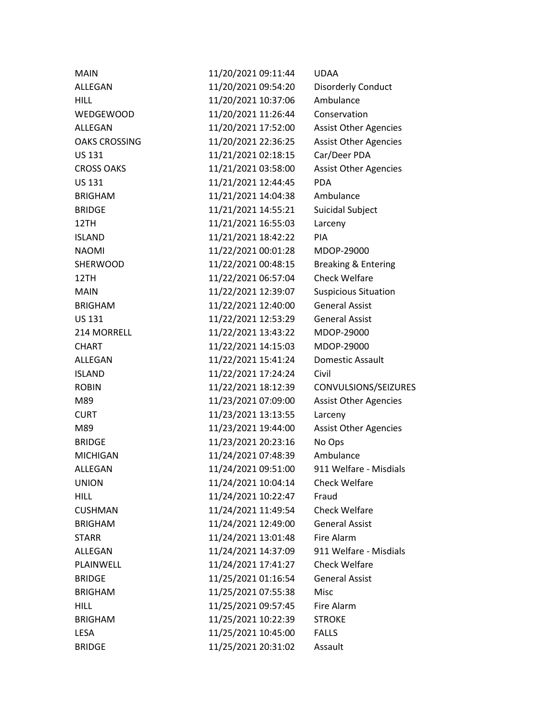| <b>MAIN</b>          | 11/20/2021 09:11:44 | <b>UDAA</b>                    |
|----------------------|---------------------|--------------------------------|
| ALLEGAN              | 11/20/2021 09:54:20 | <b>Disorderly Conduct</b>      |
| <b>HILL</b>          | 11/20/2021 10:37:06 | Ambulance                      |
| <b>WEDGEWOOD</b>     | 11/20/2021 11:26:44 | Conservation                   |
| ALLEGAN              | 11/20/2021 17:52:00 | <b>Assist Other Agencies</b>   |
| <b>OAKS CROSSING</b> | 11/20/2021 22:36:25 | <b>Assist Other Agencies</b>   |
| <b>US 131</b>        | 11/21/2021 02:18:15 | Car/Deer PDA                   |
| <b>CROSS OAKS</b>    | 11/21/2021 03:58:00 | <b>Assist Other Agencies</b>   |
| <b>US 131</b>        | 11/21/2021 12:44:45 | <b>PDA</b>                     |
| <b>BRIGHAM</b>       | 11/21/2021 14:04:38 | Ambulance                      |
| <b>BRIDGE</b>        | 11/21/2021 14:55:21 | Suicidal Subject               |
| 12TH                 | 11/21/2021 16:55:03 | Larceny                        |
| <b>ISLAND</b>        | 11/21/2021 18:42:22 | PIA                            |
| <b>NAOMI</b>         | 11/22/2021 00:01:28 | MDOP-29000                     |
| SHERWOOD             | 11/22/2021 00:48:15 | <b>Breaking &amp; Entering</b> |
| 12TH                 | 11/22/2021 06:57:04 | <b>Check Welfare</b>           |
| <b>MAIN</b>          | 11/22/2021 12:39:07 | <b>Suspicious Situation</b>    |
| <b>BRIGHAM</b>       | 11/22/2021 12:40:00 | <b>General Assist</b>          |
| <b>US 131</b>        | 11/22/2021 12:53:29 | <b>General Assist</b>          |
| 214 MORRELL          | 11/22/2021 13:43:22 | MDOP-29000                     |
| <b>CHART</b>         | 11/22/2021 14:15:03 | MDOP-29000                     |
| ALLEGAN              | 11/22/2021 15:41:24 | Domestic Assault               |
| <b>ISLAND</b>        | 11/22/2021 17:24:24 | Civil                          |
| <b>ROBIN</b>         | 11/22/2021 18:12:39 | CONVULSIONS/SEIZURES           |
| M89                  | 11/23/2021 07:09:00 | <b>Assist Other Agencies</b>   |
| <b>CURT</b>          | 11/23/2021 13:13:55 | Larceny                        |
| M89                  | 11/23/2021 19:44:00 | <b>Assist Other Agencies</b>   |
| <b>BRIDGE</b>        | 11/23/2021 20:23:16 | No Ops                         |
| <b>MICHIGAN</b>      | 11/24/2021 07:48:39 | Ambulance                      |
| ALLEGAN              | 11/24/2021 09:51:00 | 911 Welfare - Misdials         |
| <b>UNION</b>         | 11/24/2021 10:04:14 | <b>Check Welfare</b>           |
| <b>HILL</b>          | 11/24/2021 10:22:47 | Fraud                          |
| <b>CUSHMAN</b>       | 11/24/2021 11:49:54 | <b>Check Welfare</b>           |
| <b>BRIGHAM</b>       | 11/24/2021 12:49:00 | <b>General Assist</b>          |
| <b>STARR</b>         | 11/24/2021 13:01:48 | Fire Alarm                     |
| ALLEGAN              | 11/24/2021 14:37:09 | 911 Welfare - Misdials         |
| PLAINWELL            | 11/24/2021 17:41:27 | <b>Check Welfare</b>           |
| <b>BRIDGE</b>        | 11/25/2021 01:16:54 | <b>General Assist</b>          |
| <b>BRIGHAM</b>       | 11/25/2021 07:55:38 | <b>Misc</b>                    |
| <b>HILL</b>          | 11/25/2021 09:57:45 | Fire Alarm                     |
| <b>BRIGHAM</b>       | 11/25/2021 10:22:39 | <b>STROKE</b>                  |
| <b>LESA</b>          | 11/25/2021 10:45:00 | <b>FALLS</b>                   |
| <b>BRIDGE</b>        | 11/25/2021 20:31:02 | Assault                        |